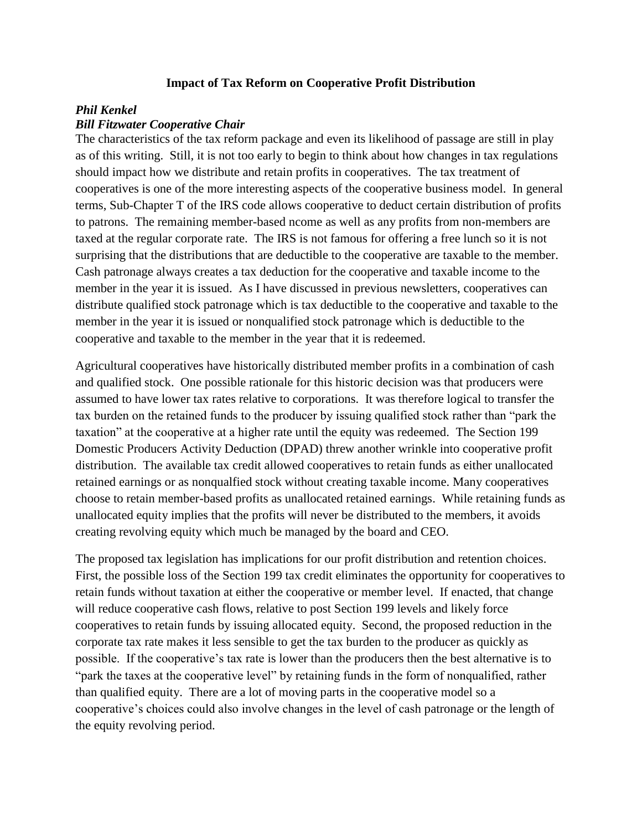## **Impact of Tax Reform on Cooperative Profit Distribution**

## *Phil Kenkel*

## *Bill Fitzwater Cooperative Chair*

The characteristics of the tax reform package and even its likelihood of passage are still in play as of this writing. Still, it is not too early to begin to think about how changes in tax regulations should impact how we distribute and retain profits in cooperatives. The tax treatment of cooperatives is one of the more interesting aspects of the cooperative business model. In general terms, Sub-Chapter T of the IRS code allows cooperative to deduct certain distribution of profits to patrons. The remaining member-based ncome as well as any profits from non-members are taxed at the regular corporate rate. The IRS is not famous for offering a free lunch so it is not surprising that the distributions that are deductible to the cooperative are taxable to the member. Cash patronage always creates a tax deduction for the cooperative and taxable income to the member in the year it is issued. As I have discussed in previous newsletters, cooperatives can distribute qualified stock patronage which is tax deductible to the cooperative and taxable to the member in the year it is issued or nonqualified stock patronage which is deductible to the cooperative and taxable to the member in the year that it is redeemed.

Agricultural cooperatives have historically distributed member profits in a combination of cash and qualified stock. One possible rationale for this historic decision was that producers were assumed to have lower tax rates relative to corporations. It was therefore logical to transfer the tax burden on the retained funds to the producer by issuing qualified stock rather than "park the taxation" at the cooperative at a higher rate until the equity was redeemed. The Section 199 Domestic Producers Activity Deduction (DPAD) threw another wrinkle into cooperative profit distribution. The available tax credit allowed cooperatives to retain funds as either unallocated retained earnings or as nonqualfied stock without creating taxable income. Many cooperatives choose to retain member-based profits as unallocated retained earnings. While retaining funds as unallocated equity implies that the profits will never be distributed to the members, it avoids creating revolving equity which much be managed by the board and CEO.

The proposed tax legislation has implications for our profit distribution and retention choices. First, the possible loss of the Section 199 tax credit eliminates the opportunity for cooperatives to retain funds without taxation at either the cooperative or member level. If enacted, that change will reduce cooperative cash flows, relative to post Section 199 levels and likely force cooperatives to retain funds by issuing allocated equity. Second, the proposed reduction in the corporate tax rate makes it less sensible to get the tax burden to the producer as quickly as possible. If the cooperative's tax rate is lower than the producers then the best alternative is to "park the taxes at the cooperative level" by retaining funds in the form of nonqualified, rather than qualified equity. There are a lot of moving parts in the cooperative model so a cooperative's choices could also involve changes in the level of cash patronage or the length of the equity revolving period.